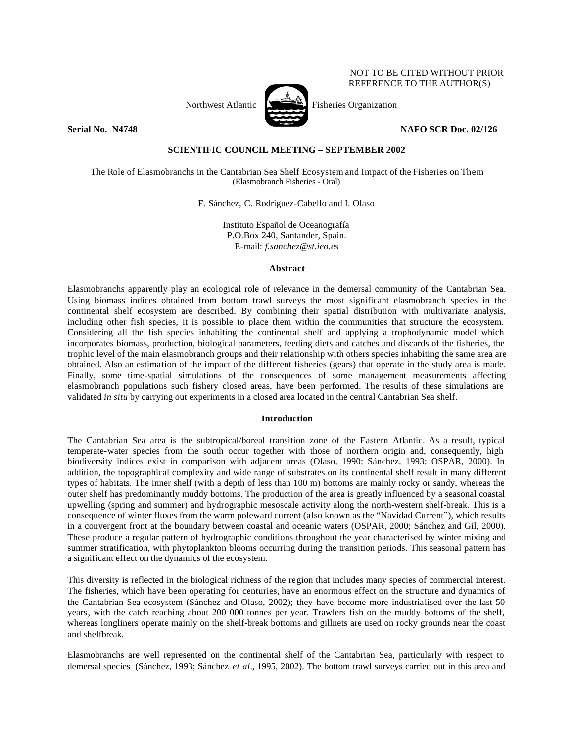Northwest Atlantic  $\sum_{n=1}^{\infty}$  Fisheries Organization



NOT TO BE CITED WITHOUT PRIOR REFERENCE TO THE AUTHOR(S)

# **Serial No. 14748 NAFO SCR Doc. 02/126**

# **SCIENTIFIC COUNCIL MEETING – SEPTEMBER 2002**

The Role of Elasmobranchs in the Cantabrian Sea Shelf Ecosystem and Impact of the Fisheries on Them (Elasmobranch Fisheries - Oral)

F. Sánchez, C. Rodriguez-Cabello and I. Olaso

Instituto Español de Oceanografía P.O.Box 240, Santander, Spain. E-mail: *f.sanchez@st.ieo.es*

## **Abstract**

Elasmobranchs apparently play an ecological role of relevance in the demersal community of the Cantabrian Sea. Using biomass indices obtained from bottom trawl surveys the most significant elasmobranch species in the continental shelf ecosystem are described. By combining their spatial distribution with multivariate analysis, including other fish species, it is possible to place them within the communities that structure the ecosystem. Considering all the fish species inhabiting the continental shelf and applying a trophodynamic model which incorporates biomass, production, biological parameters, feeding diets and catches and discards of the fisheries, the trophic level of the main elasmobranch groups and their relationship with others species inhabiting the same area are obtained. Also an estimation of the impact of the different fisheries (gears) that operate in the study area is made. Finally, some time-spatial simulations of the consequences of some management measurements affecting elasmobranch populations such fishery closed areas, have been performed. The results of these simulations are validated *in situ* by carrying out experiments in a closed area located in the central Cantabrian Sea shelf.

# **Introduction**

The Cantabrian Sea area is the subtropical/boreal transition zone of the Eastern Atlantic. As a result, typical temperate-water species from the south occur together with those of northern origin and, consequently, high biodiversity indices exist in comparison with adjacent areas (Olaso, 1990; Sánchez, 1993; OSPAR, 2000). In addition, the topographical complexity and wide range of substrates on its continental shelf result in many different types of habitats. The inner shelf (with a depth of less than 100 m) bottoms are mainly rocky or sandy, whereas the outer shelf has predominantly muddy bottoms. The production of the area is greatly influenced by a seasonal coastal upwelling (spring and summer) and hydrographic mesoscale activity along the north-western shelf-break. This is a consequence of winter fluxes from the warm poleward current (also known as the "Navidad Current"), which results in a convergent front at the boundary between coastal and oceanic waters (OSPAR, 2000; Sánchez and Gil, 2000). These produce a regular pattern of hydrographic conditions throughout the year characterised by winter mixing and summer stratification, with phytoplankton blooms occurring during the transition periods. This seasonal pattern has a significant effect on the dynamics of the ecosystem.

This diversity is reflected in the biological richness of the region that includes many species of commercial interest. The fisheries, which have been operating for centuries, have an enormous effect on the structure and dynamics of the Cantabrian Sea ecosystem (Sánchez and Olaso, 2002); they have become more industrialised over the last 50 years, with the catch reaching about 200 000 tonnes per year. Trawlers fish on the muddy bottoms of the shelf, whereas longliners operate mainly on the shelf-break bottoms and gillnets are used on rocky grounds near the coast and shelfbreak.

Elasmobranchs are well represented on the continental shelf of the Cantabrian Sea, particularly with respect to demersal species (Sánchez, 1993; Sánchez *et al*., 1995, 2002). The bottom trawl surveys carried out in this area and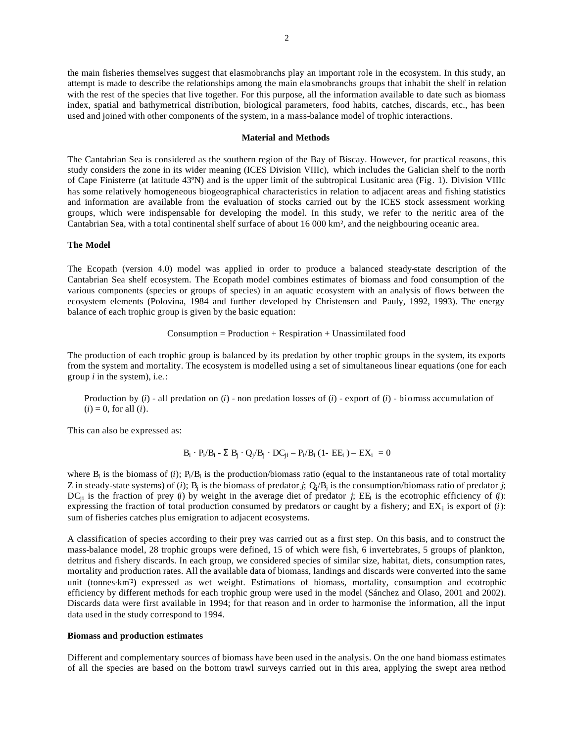the main fisheries themselves suggest that elasmobranchs play an important role in the ecosystem. In this study, an attempt is made to describe the relationships among the main elasmobranchs groups that inhabit the shelf in relation with the rest of the species that live together. For this purpose, all the information available to date such as biomass index, spatial and bathymetrical distribution, biological parameters, food habits, catches, discards, etc., has been used and joined with other components of the system, in a mass-balance model of trophic interactions.

#### **Material and Methods**

The Cantabrian Sea is considered as the southern region of the Bay of Biscay. However, for practical reasons, this study considers the zone in its wider meaning (ICES Division VIIIc), which includes the Galician shelf to the north of Cape Finisterre (at latitude 43ºN) and is the upper limit of the subtropical Lusitanic area (Fig. 1). Division VIIIc has some relatively homogeneous biogeographical characteristics in relation to adjacent areas and fishing statistics and information are available from the evaluation of stocks carried out by the ICES stock assessment working groups, which were indispensable for developing the model. In this study, we refer to the neritic area of the Cantabrian Sea, with a total continental shelf surface of about 16 000 km², and the neighbouring oceanic area.

### **The Model**

The Ecopath (version 4.0) model was applied in order to produce a balanced steady-state description of the Cantabrian Sea shelf ecosystem. The Ecopath model combines estimates of biomass and food consumption of the various components (species or groups of species) in an aquatic ecosystem with an analysis of flows between the ecosystem elements (Polovina, 1984 and further developed by Christensen and Pauly, 1992, 1993). The energy balance of each trophic group is given by the basic equation:

 $Consumption = Production + Respiration + Unassimulated food$ 

The production of each trophic group is balanced by its predation by other trophic groups in the system, its exports from the system and mortality. The ecosystem is modelled using a set of simultaneous linear equations (one for each group *i* in the system), i.e.:

Production by  $(i)$  - all predation on  $(i)$  - non predation losses of  $(i)$  - export of  $(i)$  - biomass accumulation of  $(i) = 0$ , for all  $(i)$ .

This can also be expressed as:

$$
B_i \cdot P_i / B_i - \Sigma B_j \cdot Q_j / B_j \cdot DC_{ji} - P_i / B_i (1 - EE_i) - EX_i = 0
$$

where  $B_i$  is the biomass of (*i*);  $P_i/B_i$  is the production/biomass ratio (equal to the instantaneous rate of total mortality Z in steady-state systems) of (*i*); B<sub>j</sub> is the biomass of predator *j*;  $Q_i/B_j$  is the consumption/biomass ratio of predator *j*;  $DC_{ji}$  is the fraction of prey (*i*) by weight in the average diet of predator *j*; EE<sub>i</sub> is the ecotrophic efficiency of (*i*): expressing the fraction of total production consumed by predators or caught by a fishery; and  $EX_i$  is export of  $(i)$ : sum of fisheries catches plus emigration to adjacent ecosystems.

A classification of species according to their prey was carried out as a first step. On this basis, and to construct the mass-balance model, 28 trophic groups were defined, 15 of which were fish, 6 invertebrates, 5 groups of plankton, detritus and fishery discards. In each group, we considered species of similar size, habitat, diets, consumption rates, mortality and production rates. All the available data of biomass, landings and discards were converted into the same unit (tonnes-km<sup>2</sup>) expressed as wet weight. Estimations of biomass, mortality, consumption and ecotrophic efficiency by different methods for each trophic group were used in the model (Sánchez and Olaso, 2001 and 2002). Discards data were first available in 1994; for that reason and in order to harmonise the information, all the input data used in the study correspond to 1994.

### **Biomass and production estimates**

Different and complementary sources of biomass have been used in the analysis. On the one hand biomass estimates of all the species are based on the bottom trawl surveys carried out in this area, applying the swept area method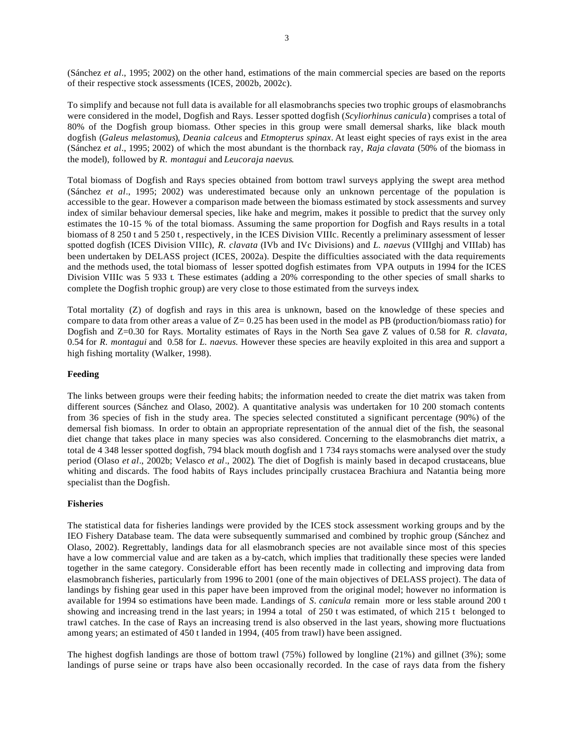(Sánchez *et al*., 1995; 2002) on the other hand, estimations of the main commercial species are based on the reports of their respective stock assessments (ICES, 2002b, 2002c).

To simplify and because not full data is available for all elasmobranchs species two trophic groups of elasmobranchs were considered in the model, Dogfish and Rays. Lesser spotted dogfish (*Scyliorhinus canicula*) comprises a total of 80% of the Dogfish group biomass. Other species in this group were small demersal sharks, like black mouth dogfish (*Galeus melastomus*), *Deania calceus* and *Etmopterus spinax*. At least eight species of rays exist in the area (Sánchez *et al*., 1995; 2002) of which the most abundant is the thornback ray, *Raja clavata* (50% of the biomass in the model), followed by *R. montagui* and *Leucoraja naevus*.

Total biomass of Dogfish and Rays species obtained from bottom trawl surveys applying the swept area method (Sánchez *et al*., 1995; 2002) was underestimated because only an unknown percentage of the population is accessible to the gear. However a comparison made between the biomass estimated by stock assessments and survey index of similar behaviour demersal species, like hake and megrim, makes it possible to predict that the survey only estimates the 10-15 % of the total biomass. Assuming the same proportion for Dogfish and Rays results in a total biomass of 8 250 t and 5 250 t , respectively, in the ICES Division VIIIc. Recently a preliminary assessment of lesser spotted dogfish (ICES Division VIIIc), *R. clavata* (IVb and IVc Divisions) and *L. naevus* (VIIIghj and VIIIab) has been undertaken by DELASS project (ICES, 2002a). Despite the difficulties associated with the data requirements and the methods used, the total biomass of lesser spotted dogfish estimates from VPA outputs in 1994 for the ICES Division VIIIc was 5 933 t. These estimates (adding a 20% corresponding to the other species of small sharks to complete the Dogfish trophic group) are very close to those estimated from the surveys index.

Total mortality (Z) of dogfish and rays in this area is unknown, based on the knowledge of these species and compare to data from other areas a value of  $Z = 0.25$  has been used in the model as PB (production/biomass ratio) for Dogfish and Z=0.30 for Rays. Mortality estimates of Rays in the North Sea gave Z values of 0.58 for *R. clavata,* 0.54 for *R. montagui* and 0.58 for *L. naevus.* However these species are heavily exploited in this area and support a high fishing mortality (Walker, 1998).

# **Feeding**

The links between groups were their feeding habits; the information needed to create the diet matrix was taken from different sources (Sánchez and Olaso, 2002). A quantitative analysis was undertaken for 10 200 stomach contents from 36 species of fish in the study area. The species selected constituted a significant percentage (90%) of the demersal fish biomass. In order to obtain an appropriate representation of the annual diet of the fish, the seasonal diet change that takes place in many species was also considered. Concerning to the elasmobranchs diet matrix, a total de 4 348 lesser spotted dogfish, 794 black mouth dogfish and 1 734 rays stomachs were analysed over the study period (Olaso *et al*., 2002b; Velasco *et al*., 2002). The diet of Dogfish is mainly based in decapod crustaceans, blue whiting and discards. The food habits of Rays includes principally crustacea Brachiura and Natantia being more specialist than the Dogfish.

### **Fisheries**

The statistical data for fisheries landings were provided by the ICES stock assessment working groups and by the IEO Fishery Database team. The data were subsequently summarised and combined by trophic group (Sánchez and Olaso, 2002). Regrettably, landings data for all elasmobranch species are not available since most of this species have a low commercial value and are taken as a by-catch, which implies that traditionally these species were landed together in the same category. Considerable effort has been recently made in collecting and improving data from elasmobranch fisheries, particularly from 1996 to 2001 (one of the main objectives of DELASS project). The data of landings by fishing gear used in this paper have been improved from the original model; however no information is available for 1994 so estimations have been made. Landings of *S. canicula* remain more or less stable around 200 t showing and increasing trend in the last years; in 1994 a total of 250 t was estimated, of which 215 t belonged to trawl catches. In the case of Rays an increasing trend is also observed in the last years, showing more fluctuations among years; an estimated of 450 t landed in 1994, (405 from trawl) have been assigned.

The highest dogfish landings are those of bottom trawl (75%) followed by longline (21%) and gillnet (3%); some landings of purse seine or traps have also been occasionally recorded. In the case of rays data from the fishery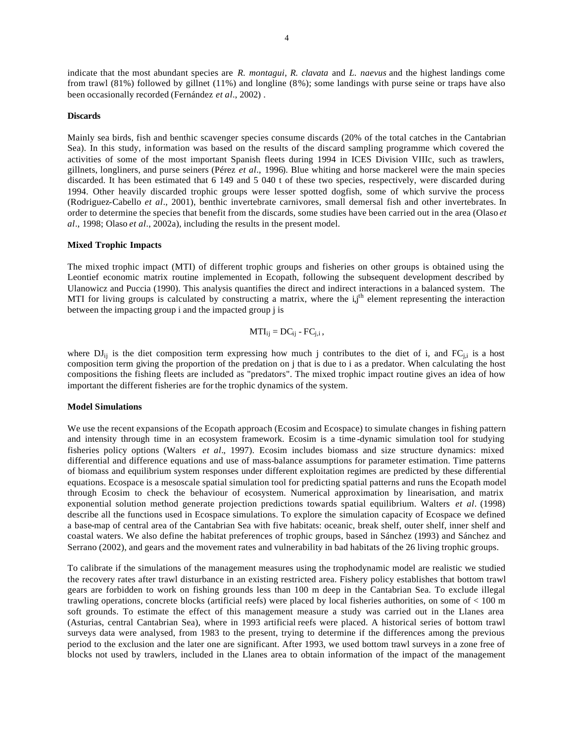indicate that the most abundant species are *R. montagui*, *R. clavata* and *L. naevus* and the highest landings come from trawl (81%) followed by gillnet (11%) and longline (8%); some landings with purse seine or traps have also been occasionally recorded (Fernández *et al*., 2002) .

### **Discards**

Mainly sea birds, fish and benthic scavenger species consume discards (20% of the total catches in the Cantabrian Sea). In this study, information was based on the results of the discard sampling programme which covered the activities of some of the most important Spanish fleets during 1994 in ICES Division VIIIc, such as trawlers, gillnets, longliners, and purse seiners (Pérez *et al*., 1996). Blue whiting and horse mackerel were the main species discarded. It has been estimated that 6 149 and 5 040 t of these two species, respectively, were discarded during 1994. Other heavily discarded trophic groups were lesser spotted dogfish, some of which survive the process (Rodriguez-Cabello *et al*., 2001), benthic invertebrate carnivores, small demersal fish and other invertebrates. In order to determine the species that benefit from the discards, some studies have been carried out in the area (Olaso *et al*., 1998; Olaso *et al*., 2002a), including the results in the present model.

### **Mixed Trophic Impacts**

The mixed trophic impact (MTI) of different trophic groups and fisheries on other groups is obtained using the Leontief economic matrix routine implemented in Ecopath, following the subsequent development described by Ulanowicz and Puccia (1990). This analysis quantifies the direct and indirect interactions in a balanced system. The MTI for living groups is calculated by constructing a matrix, where the  $i,j$ <sup>th</sup> element representing the interaction between the impacting group i and the impacted group j is

$$
MTI_{ij} = DC_{ij} - FC_{j,i},
$$

where  $DJ_{ii}$  is the diet composition term expressing how much j contributes to the diet of i, and  $FC_{ii}$  is a host composition term giving the proportion of the predation on j that is due to i as a predator. When calculating the host compositions the fishing fleets are included as "predators". The mixed trophic impact routine gives an idea of how important the different fisheries are for the trophic dynamics of the system.

### **Model Simulations**

We use the recent expansions of the Ecopath approach (Ecosim and Ecospace) to simulate changes in fishing pattern and intensity through time in an ecosystem framework. Ecosim is a time -dynamic simulation tool for studying fisheries policy options (Walters *et al*., 1997). Ecosim includes biomass and size structure dynamics: mixed differential and difference equations and use of mass-balance assumptions for parameter estimation. Time patterns of biomass and equilibrium system responses under different exploitation regimes are predicted by these differential equations. Ecospace is a mesoscale spatial simulation tool for predicting spatial patterns and runs the Ecopath model through Ecosim to check the behaviour of ecosystem. Numerical approximation by linearisation, and matrix exponential solution method generate projection predictions towards spatial equilibrium. Walters *et al*. (1998) describe all the functions used in Ecospace simulations. To explore the simulation capacity of Ecospace we defined a base-map of central area of the Cantabrian Sea with five habitats: oceanic, break shelf, outer shelf, inner shelf and coastal waters. We also define the habitat preferences of trophic groups, based in Sánchez (1993) and Sánchez and Serrano (2002), and gears and the movement rates and vulnerability in bad habitats of the 26 living trophic groups.

To calibrate if the simulations of the management measures using the trophodynamic model are realistic we studied the recovery rates after trawl disturbance in an existing restricted area. Fishery policy establishes that bottom trawl gears are forbidden to work on fishing grounds less than 100 m deep in the Cantabrian Sea. To exclude illegal trawling operations, concrete blocks (artificial reefs) were placed by local fisheries authorities, on some of < 100 m soft grounds. To estimate the effect of this management measure a study was carried out in the Llanes area (Asturias, central Cantabrian Sea), where in 1993 artificial reefs were placed. A historical series of bottom trawl surveys data were analysed, from 1983 to the present, trying to determine if the differences among the previous period to the exclusion and the later one are significant. After 1993, we used bottom trawl surveys in a zone free of blocks not used by trawlers, included in the Llanes area to obtain information of the impact of the management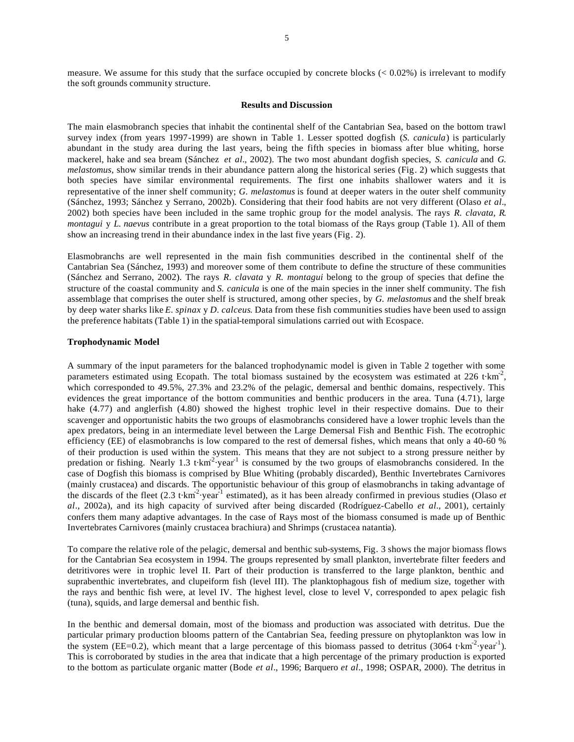### **Results and Discussion**

The main elasmobranch species that inhabit the continental shelf of the Cantabrian Sea, based on the bottom trawl survey index (from years 1997-1999) are shown in Table 1. Lesser spotted dogfish (*S. canicula*) is particularly abundant in the study area during the last years, being the fifth species in biomass after blue whiting, horse mackerel, hake and sea bream (Sánchez *et al.*, 2002). The two most abundant dogfish species, *S. canicula* and *G. melastomus,* show similar trends in their abundance pattern along the historical series (Fig. 2) which suggests that both species have similar environmental requirements. The first one inhabits shallower waters and it is representative of the inner shelf community; *G. melastomus* is found at deeper waters in the outer shelf community (Sánchez, 1993; Sánchez y Serrano, 2002b). Considering that their food habits are not very different (Olaso *et al*., 2002) both species have been included in the same trophic group for the model analysis. The rays *R. clavata*, *R. montagui* y *L. naevus* contribute in a great proportion to the total biomass of the Rays group (Table 1). All of them show an increasing trend in their abundance index in the last five years (Fig. 2).

Elasmobranchs are well represented in the main fish communities described in the continental shelf of the Cantabrian Sea (Sánchez, 1993) and moreover some of them contribute to define the structure of these communities (Sánchez and Serrano, 2002). The rays *R. clavata* y *R. montagui* belong to the group of species that define the structure of the coastal community and *S. canicula* is one of the main species in the inner shelf community. The fish assemblage that comprises the outer shelf is structured, among other species, by *G. melastomus* and the shelf break by deep water sharks like *E. spinax* y *D. calceus*. Data from these fish communities studies have been used to assign the preference habitats (Table 1) in the spatial-temporal simulations carried out with Ecospace.

#### **Trophodynamic Model**

A summary of the input parameters for the balanced trophodynamic model is given in Table 2 together with some parameters estimated using Ecopath. The total biomass sustained by the ecosystem was estimated at 226 t·km<sup>-2</sup>, which corresponded to 49.5%, 27.3% and 23.2% of the pelagic, demersal and benthic domains, respectively. This evidences the great importance of the bottom communities and benthic producers in the area. Tuna (4.71), large hake (4.77) and anglerfish (4.80) showed the highest trophic level in their respective domains. Due to their scavenger and opportunistic habits the two groups of elasmobranchs considered have a lower trophic levels than the apex predators, being in an intermediate level between the Large Demersal Fish and Benthic Fish. The ecotrophic efficiency (EE) of elasmobranchs is low compared to the rest of demersal fishes, which means that only a 40-60 % of their production is used within the system. This means that they are not subject to a strong pressure neither by predation or fishing. Nearly 1.3 t $km^2$  year<sup>1</sup> is consumed by the two groups of elasmobranchs considered. In the case of Dogfish this biomass is comprised by Blue Whiting (probably discarded), Benthic Invertebrates Carnivores (mainly crustacea) and discards. The opportunistic behaviour of this group of elasmobranchs in taking advantage of the discards of the fleet  $(2.3 \text{ t} \cdot \text{km}^2 \cdot \text{year}^1$  estimated), as it has been already confirmed in previous studies (Olaso *et al*., 2002a), and its high capacity of survived after being discarded (Rodríguez-Cabello *et al.*, 2001), certainly confers them many adaptive advantages. In the case of Rays most of the biomass consumed is made up of Benthic Invertebrates Carnivores (mainly crustacea brachiura) and Shrimps (crustacea natantia).

To compare the relative role of the pelagic, demersal and benthic sub-systems, Fig. 3 shows the major biomass flows for the Cantabrian Sea ecosystem in 1994. The groups represented by small plankton, invertebrate filter feeders and detritivores were in trophic level II. Part of their production is transferred to the large plankton, benthic and suprabenthic invertebrates, and clupeiform fish (level III). The planktophagous fish of medium size, together with the rays and benthic fish were, at level IV. The highest level, close to level V, corresponded to apex pelagic fish (tuna), squids, and large demersal and benthic fish.

In the benthic and demersal domain, most of the biomass and production was associated with detritus. Due the particular primary production blooms pattern of the Cantabrian Sea, feeding pressure on phytoplankton was low in the system (EE=0.2), which meant that a large percentage of this biomass passed to detritus (3064 t $km^{-2}$ ·year<sup>-1</sup>). This is corroborated by studies in the area that indicate that a high percentage of the primary production is exported to the bottom as particulate organic matter (Bode *et al*., 1996; Barquero *et al*., 1998; OSPAR, 2000). The detritus in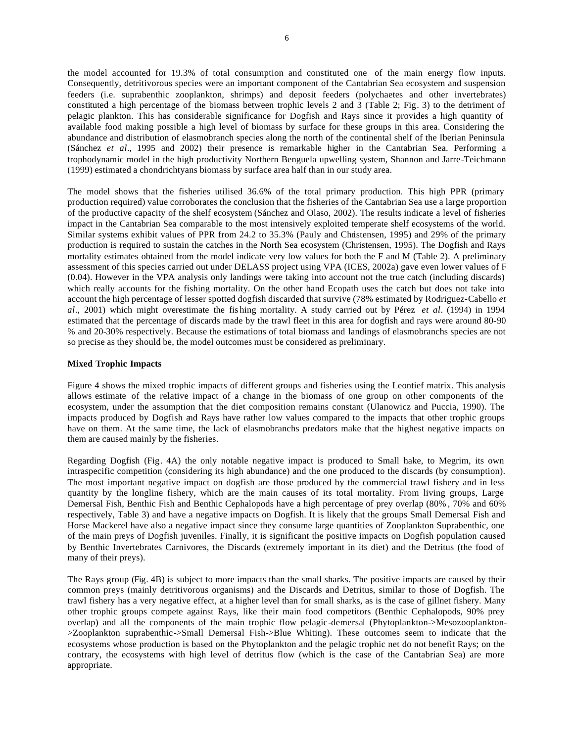the model accounted for 19.3% of total consumption and constituted one of the main energy flow inputs. Consequently, detritivorous species were an important component of the Cantabrian Sea ecosystem and suspension feeders (i.e. suprabenthic zooplankton, shrimps) and deposit feeders (polychaetes and other invertebrates) constituted a high percentage of the biomass between trophic levels 2 and 3 (Table 2; Fig. 3) to the detriment of pelagic plankton. This has considerable significance for Dogfish and Rays since it provides a high quantity of available food making possible a high level of biomass by surface for these groups in this area. Considering the abundance and distribution of elasmobranch species along the north of the continental shelf of the Iberian Peninsula (Sánchez *et al*., 1995 and 2002) their presence is remarkable higher in the Cantabrian Sea. Performing a trophodynamic model in the high productivity Northern Benguela upwelling system, Shannon and Jarre-Teichmann (1999) estimated a chondrichtyans biomass by surface area half than in our study area.

The model shows that the fisheries utilised 36.6% of the total primary production. This high PPR (primary production required) value corroborates the conclusion that the fisheries of the Cantabrian Sea use a large proportion of the productive capacity of the shelf ecosystem (Sánchez and Olaso, 2002). The results indicate a level of fisheries impact in the Cantabrian Sea comparable to the most intensively exploited temperate shelf ecosystems of the world. Similar systems exhibit values of PPR from 24.2 to 35.3% (Pauly and Christensen, 1995) and 29% of the primary production is required to sustain the catches in the North Sea ecosystem (Christensen, 1995). The Dogfish and Rays mortality estimates obtained from the model indicate very low values for both the F and M (Table 2). A preliminary assessment of this species carried out under DELASS project using VPA (ICES, 2002a) gave even lower values of F (0.04). However in the VPA analysis only landings were taking into account not the true catch (including discards) which really accounts for the fishing mortality. On the other hand Ecopath uses the catch but does not take into account the high percentage of lesser spotted dogfish discarded that survive (78% estimated by Rodriguez-Cabello *et al*., 2001) which might overestimate the fis hing mortality. A study carried out by Pérez *et al*. (1994) in 1994 estimated that the percentage of discards made by the trawl fleet in this area for dogfish and rays were around 80-90 % and 20-30% respectively. Because the estimations of total biomass and landings of elasmobranchs species are not so precise as they should be, the model outcomes must be considered as preliminary.

### **Mixed Trophic Impacts**

Figure 4 shows the mixed trophic impacts of different groups and fisheries using the Leontief matrix. This analysis allows estimate of the relative impact of a change in the biomass of one group on other components of the ecosystem, under the assumption that the diet composition remains constant (Ulanowicz and Puccia, 1990). The impacts produced by Dogfish and Rays have rather low values compared to the impacts that other trophic groups have on them. At the same time, the lack of elasmobranchs predators make that the highest negative impacts on them are caused mainly by the fisheries.

Regarding Dogfish (Fig. 4A) the only notable negative impact is produced to Small hake, to Megrim, its own intraspecific competition (considering its high abundance) and the one produced to the discards (by consumption). The most important negative impact on dogfish are those produced by the commercial trawl fishery and in less quantity by the longline fishery, which are the main causes of its total mortality. From living groups, Large Demersal Fish, Benthic Fish and Benthic Cephalopods have a high percentage of prey overlap (80% , 70% and 60% respectively, Table 3) and have a negative impacts on Dogfish. It is likely that the groups Small Demersal Fish and Horse Mackerel have also a negative impact since they consume large quantities of Zooplankton Suprabenthic, one of the main preys of Dogfish juveniles. Finally, it is significant the positive impacts on Dogfish population caused by Benthic Invertebrates Carnivores, the Discards (extremely important in its diet) and the Detritus (the food of many of their preys).

The Rays group (Fig. 4B) is subject to more impacts than the small sharks. The positive impacts are caused by their common preys (mainly detritivorous organisms) and the Discards and Detritus, similar to those of Dogfish. The trawl fishery has a very negative effect, at a higher level than for small sharks, as is the case of gillnet fishery. Many other trophic groups compete against Rays, like their main food competitors (Benthic Cephalopods, 90% prey overlap) and all the components of the main trophic flow pelagic-demersal (Phytoplankton->Mesozooplankton- >Zooplankton suprabenthic->Small Demersal Fish->Blue Whiting). These outcomes seem to indicate that the ecosystems whose production is based on the Phytoplankton and the pelagic trophic net do not benefit Rays; on the contrary, the ecosystems with high level of detritus flow (which is the case of the Cantabrian Sea) are more appropriate.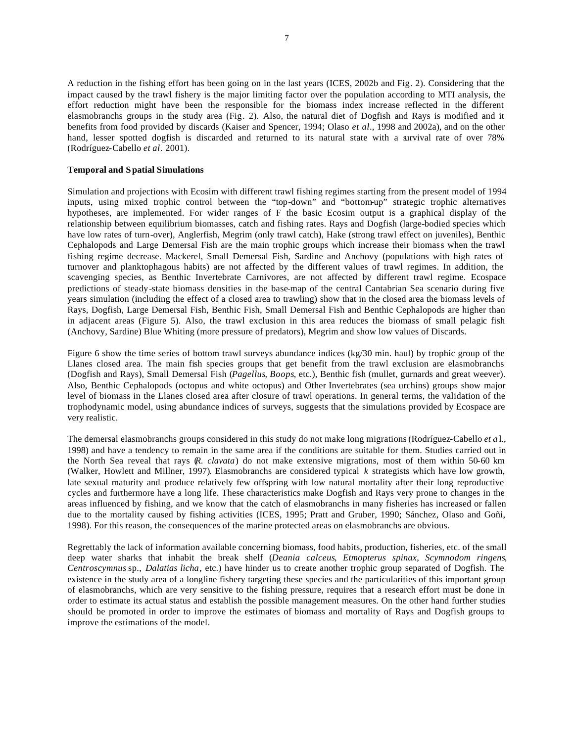A reduction in the fishing effort has been going on in the last years (ICES, 2002b and Fig. 2). Considering that the impact caused by the trawl fishery is the major limiting factor over the population according to MTI analysis, the effort reduction might have been the responsible for the biomass index increase reflected in the different elasmobranchs groups in the study area (Fig. 2). Also, the natural diet of Dogfish and Rays is modified and it benefits from food provided by discards (Kaiser and Spencer, 1994; Olaso *et al*., 1998 and 2002a), and on the other hand, lesser spotted dogfish is discarded and returned to its natural state with a survival rate of over 78% (Rodríguez-Cabello *et al*. 2001).

### **Temporal and Spatial Simulations**

Simulation and projections with Ecosim with different trawl fishing regimes starting from the present model of 1994 inputs, using mixed trophic control between the "top-down" and "bottom-up" strategic trophic alternatives hypotheses, are implemented. For wider ranges of F the basic Ecosim output is a graphical display of the relationship between equilibrium biomasses, catch and fishing rates. Rays and Dogfish (large-bodied species which have low rates of turn-over), Anglerfish, Megrim (only trawl catch), Hake (strong trawl effect on juveniles), Benthic Cephalopods and Large Demersal Fish are the main trophic groups which increase their biomass when the trawl fishing regime decrease. Mackerel, Small Demersal Fish, Sardine and Anchovy (populations with high rates of turnover and planktophagous habits) are not affected by the different values of trawl regimes. In addition, the scavenging species, as Benthic Invertebrate Carnivores, are not affected by different trawl regime. Ecospace predictions of steady-state biomass densities in the base-map of the central Cantabrian Sea scenario during five years simulation (including the effect of a closed area to trawling) show that in the closed area the biomass levels of Rays, Dogfish, Large Demersal Fish, Benthic Fish, Small Demersal Fish and Benthic Cephalopods are higher than in adjacent areas (Figure 5). Also, the trawl exclusion in this area reduces the biomass of small pelagic fish (Anchovy, Sardine) Blue Whiting (more pressure of predators), Megrim and show low values of Discards.

Figure 6 show the time series of bottom trawl surveys abundance indices (kg/30 min. haul) by trophic group of the Llanes closed area. The main fish species groups that get benefit from the trawl exclusion are elasmobranchs (Dogfish and Rays), Small Demersal Fish (*Pagellus*, *Boops*, etc.), Benthic fish (mullet, gurnards and great weever). Also, Benthic Cephalopods (octopus and white octopus) and Other Invertebrates (sea urchins) groups show major level of biomass in the Llanes closed area after closure of trawl operations. In general terms, the validation of the trophodynamic model, using abundance indices of surveys, suggests that the simulations provided by Ecospace are very realistic.

The demersal elasmobranchs groups considered in this study do not make long migrations (Rodríguez-Cabello *et a* l., 1998) and have a tendency to remain in the same area if the conditions are suitable for them. Studies carried out in the North Sea reveal that rays (*R. clavata*) do not make extensive migrations, most of them within 50-60 km (Walker, Howlett and Millner, 1997). Elasmobranchs are considered typical *k* strategists which have low growth, late sexual maturity and produce relatively few offspring with low natural mortality after their long reproductive cycles and furthermore have a long life. These characteristics make Dogfish and Rays very prone to changes in the areas influenced by fishing, and we know that the catch of elasmobranchs in many fisheries has increased or fallen due to the mortality caused by fishing activities (ICES, 1995; Pratt and Gruber, 1990; Sánchez, Olaso and Goñi, 1998). For this reason, the consequences of the marine protected areas on elasmobranchs are obvious.

Regrettably the lack of information available concerning biomass, food habits, production, fisheries, etc. of the small deep water sharks that inhabit the break shelf (*Deania calceus*, *Etmopterus spinax*, *Scymnodom ringens*, *Centroscymnus* sp., *Dalatias licha*, etc.) have hinder us to create another trophic group separated of Dogfish. The existence in the study area of a longline fishery targeting these species and the particularities of this important group of elasmobranchs, which are very sensitive to the fishing pressure, requires that a research effort must be done in order to estimate its actual status and establish the possible management measures. On the other hand further studies should be promoted in order to improve the estimates of biomass and mortality of Rays and Dogfish groups to improve the estimations of the model.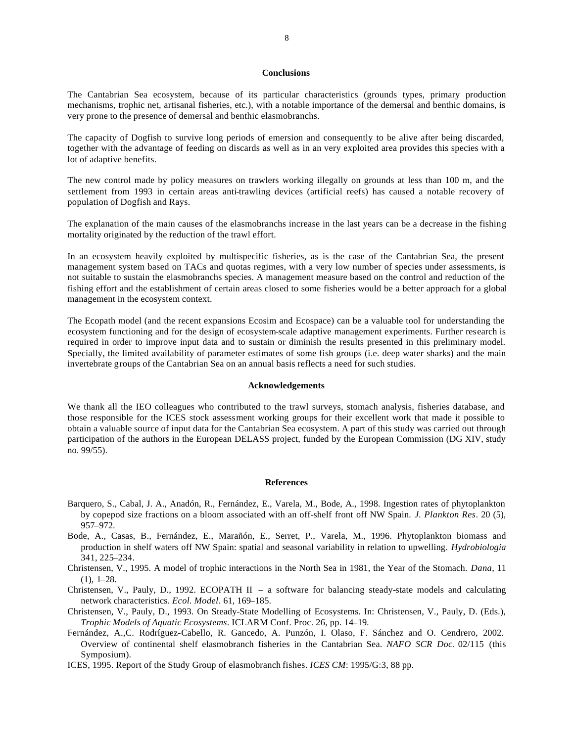### **Conclusions**

The Cantabrian Sea ecosystem, because of its particular characteristics (grounds types, primary production mechanisms, trophic net, artisanal fisheries, etc.), with a notable importance of the demersal and benthic domains, is very prone to the presence of demersal and benthic elasmobranchs.

The capacity of Dogfish to survive long periods of emersion and consequently to be alive after being discarded, together with the advantage of feeding on discards as well as in an very exploited area provides this species with a lot of adaptive benefits.

The new control made by policy measures on trawlers working illegally on grounds at less than 100 m, and the settlement from 1993 in certain areas anti-trawling devices (artificial reefs) has caused a notable recovery of population of Dogfish and Rays.

The explanation of the main causes of the elasmobranchs increase in the last years can be a decrease in the fishing mortality originated by the reduction of the trawl effort.

In an ecosystem heavily exploited by multispecific fisheries, as is the case of the Cantabrian Sea, the present management system based on TACs and quotas regimes, with a very low number of species under assessments, is not suitable to sustain the elasmobranchs species. A management measure based on the control and reduction of the fishing effort and the establishment of certain areas closed to some fisheries would be a better approach for a global management in the ecosystem context.

The Ecopath model (and the recent expansions Ecosim and Ecospace) can be a valuable tool for understanding the ecosystem functioning and for the design of ecosystem-scale adaptive management experiments. Further research is required in order to improve input data and to sustain or diminish the results presented in this preliminary model. Specially, the limited availability of parameter estimates of some fish groups (i.e. deep water sharks) and the main invertebrate groups of the Cantabrian Sea on an annual basis reflects a need for such studies.

#### **Acknowledgements**

We thank all the IEO colleagues who contributed to the trawl surveys, stomach analysis, fisheries database, and those responsible for the ICES stock assessment working groups for their excellent work that made it possible to obtain a valuable source of input data for the Cantabrian Sea ecosystem. A part of this study was carried out through participation of the authors in the European DELASS project, funded by the European Commission (DG XIV, study no. 99/55).

#### **References**

- Barquero, S., Cabal, J. A., Anadón, R., Fernández, E., Varela, M., Bode, A., 1998. Ingestion rates of phytoplankton by copepod size fractions on a bloom associated with an off-shelf front off NW Spain. *J. Plankton Res*. 20 (5), 957–972.
- Bode, A., Casas, B., Fernández, E., Marañón, E., Serret, P., Varela, M., 1996. Phytoplankton biomass and production in shelf waters off NW Spain: spatial and seasonal variability in relation to upwelling. *Hydrobiologia* 341, 225–234.
- Christensen, V., 1995. A model of trophic interactions in the North Sea in 1981, the Year of the Stomach. *Dana*, 11 (1), 1–28.
- Christensen, V., Pauly, D., 1992. ECOPATH II a software for balancing steady-state models and calculating network characteristics. *Ecol. Model*. 61, 169–185.
- Christensen, V., Pauly, D., 1993. On Steady-State Modelling of Ecosystems. In: Christensen, V., Pauly, D. (Eds.), *Trophic Models of Aquatic Ecosystems*. ICLARM Conf. Proc. 26, pp. 14–19.
- Fernández, A.,C. Rodríguez-Cabello, R. Gancedo, A. Punzón, I. Olaso, F. Sánchez and O. Cendrero, 2002. Overview of continental shelf elasmobranch fisheries in the Cantabrian Sea. *NAFO SCR Doc*. 02/115 (this Symposium).
- ICES, 1995. Report of the Study Group of elasmobranch fishes. *ICES CM*: 1995/G:3, 88 pp.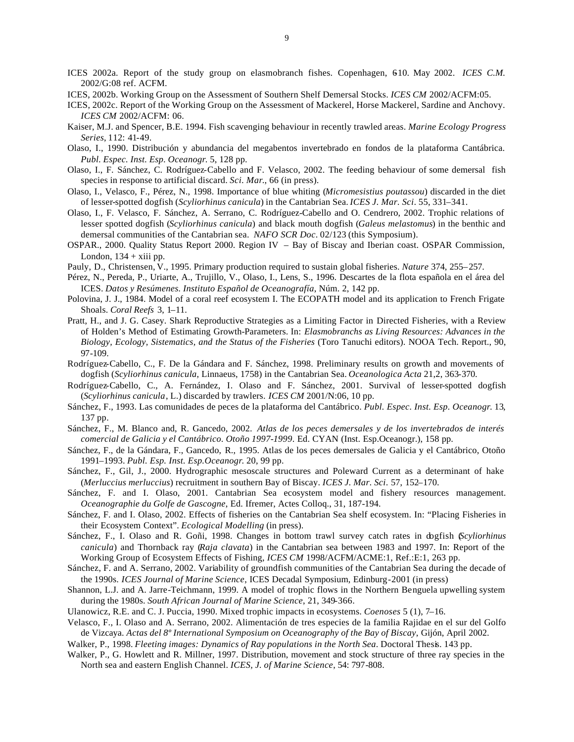- ICES 2002a. Report of the study group on elasmobranch fishes. Copenhagen, 610. May 2002. *ICES C.M.* 2002/G:08 ref. ACFM.
- ICES, 2002b. Working Group on the Assessment of Southern Shelf Demersal Stocks. *ICES CM* 2002/ACFM:05.
- ICES, 2002c. Report of the Working Group on the Assessment of Mackerel, Horse Mackerel, Sardine and Anchovy. *ICES CM* 2002/ACFM: 06.
- Kaiser, M.J. and Spencer, B.E. 1994. Fish scavenging behaviour in recently trawled areas. *Marine Ecology Progress Series*, 112: 41-49.
- Olaso, I., 1990. Distribución y abundancia del megabentos invertebrado en fondos de la plataforma Cantábrica. *Publ. Espec. Inst. Esp. Oceanogr*. 5, 128 pp.
- Olaso, I., F. Sánchez, C. Rodríguez-Cabello and F. Velasco, 2002. The feeding behaviour of some demersal fish species in response to artificial discard. *Sci. Mar*., 66 (in press).
- Olaso, I., Velasco, F., Pérez, N., 1998. Importance of blue whiting (*Micromesistius poutassou*) discarded in the diet of lesser-spotted dogfish (*Scyliorhinus canicula*) in the Cantabrian Sea. *ICES J. Mar. Sci*. 55, 331–341.
- Olaso, I., F. Velasco, F. Sánchez, A. Serrano, C. Rodríguez-Cabello and O. Cendrero, 2002. Trophic relations of lesser spotted dogfish (*Scyliorhinus canicula*) and black mouth dogfish (*Galeus melastomus*) in the benthic and demersal communities of the Cantabrian sea. *NAFO SCR Doc*. 02/123 (this Symposium).
- OSPAR., 2000. Quality Status Report 2000. Region IV Bay of Biscay and Iberian coast. OSPAR Commission, London,  $134 + xiii$  pp.
- Pauly, D., Christensen, V., 1995. Primary production required to sustain global fisheries. *Nature* 374, 255–257.
- Pérez, N., Pereda, P., Uriarte, A., Trujillo, V., Olaso, I., Lens, S., 1996. Descartes de la flota española en el área del ICES. *Datos y Resúmenes. Instituto Español de Oceanografía*, Núm. 2, 142 pp.
- Polovina, J. J., 1984. Model of a coral reef ecosystem I. The ECOPATH model and its application to French Frigate Shoals. *Coral Reefs* 3, 1–11.
- Pratt, H., and J. G. Casey. Shark Reproductive Strategies as a Limiting Factor in Directed Fisheries, with a Review of Holden's Method of Estimating Growth-Parameters. In: *Elasmobranchs as Living Resources: Advances in the Biology, Ecology, Sistematics, and the Status of the Fisheries* (Toro Tanuchi editors). NOOA Tech. Report., 90, 97-109.
- Rodríguez-Cabello, C., F. De la Gándara and F. Sánchez, 1998. Preliminary results on growth and movements of dogfish (*Scyliorhinus canicula*, Linnaeus, 1758) in the Cantabrian Sea. *Oceanologica Acta* 21,2, 363-370.
- Rodríguez-Cabello, C., A. Fernández, I. Olaso and F. Sánchez, 2001. Survival of lesser-spotted dogfish (*Scyliorhinus canicula*, L.) discarded by trawlers. *ICES CM* 2001/N:06, 10 pp.
- Sánchez, F., 1993. Las comunidades de peces de la plataforma del Cantábrico. *Publ. Espec. Inst. Esp. Oceanogr*. 13, 137 pp.
- Sánchez, F., M. Blanco and, R. Gancedo, 2002. *Atlas de los peces demersales y de los invertebrados de interés comercial de Galicia y el Cantábrico. Otoño 1997-1999*. Ed. CYAN (Inst. Esp.Oceanogr.), 158 pp.
- Sánchez, F., de la Gándara, F., Gancedo, R., 1995. Atlas de los peces demersales de Galicia y el Cantábrico, Otoño 1991–1993. *Publ. Esp. Inst. Esp.Oceanogr*. 20, 99 pp.
- Sánchez, F., Gil, J., 2000. Hydrographic mesoscale structures and Poleward Current as a determinant of hake (*Merluccius merluccius*) recruitment in southern Bay of Biscay. *ICES J. Mar. Sci*. 57, 152–170.
- Sánchez, F. and I. Olaso, 2001. Cantabrian Sea ecosystem model and fishery resources management. *Oceanographie du Golfe de Gascogne*, Ed. Ifremer, Actes Colloq., 31, 187-194.
- Sánchez, F. and I. Olaso, 2002. Effects of fisheries on the Cantabrian Sea shelf ecosystem. In: "Placing Fisheries in their Ecosystem Context". *Ecological Modelling* (in press).
- Sánchez, F., I. Olaso and R. Goñi, 1998. Changes in bottom trawl survey catch rates in dogfish (*Scyliorhinus canicula*) and Thornback ray (*Raja clavata*) in the Cantabrian sea between 1983 and 1997. In: Report of the Working Group of Ecosystem Effects of Fishing, *ICES CM* 1998/ACFM/ACME:1, Ref.:E:1, 263 pp.
- Sánchez, F. and A. Serrano, 2002. Variability of groundfish communities of the Cantabrian Sea during the decade of the 1990s. *ICES Journal of Marine Science*, ICES Decadal Symposium, Edinburg-2001 (in press)
- Shannon, L.J. and A. Jarre-Teichmann, 1999. A model of trophic flows in the Northern Benguela upwelling system during the 1980s. *South African Journal of Marine Science*, 21, 349-366.
- Ulanowicz, R.E. and C. J. Puccia, 1990. Mixed trophic impacts in ecosystems. *Coenoses* 5 (1), 7–16.
- Velasco, F., I. Olaso and A. Serrano, 2002. Alimentación de tres especies de la familia Rajidae en el sur del Golfo de Vizcaya. *Actas del 8º International Symposium on Oceanography of the Bay of Biscay*, Gijón, April 2002.
- Walker, P., 1998. *Fleeting images: Dynamics of Ray populations in the North Sea*. Doctoral Thesis. 143 pp.
- Walker, P., G. Howlett and R. Millner, 1997. Distribution, movement and stock structure of three ray species in the North sea and eastern English Channel. *ICES, J. of Marine Science*, 54: 797-808.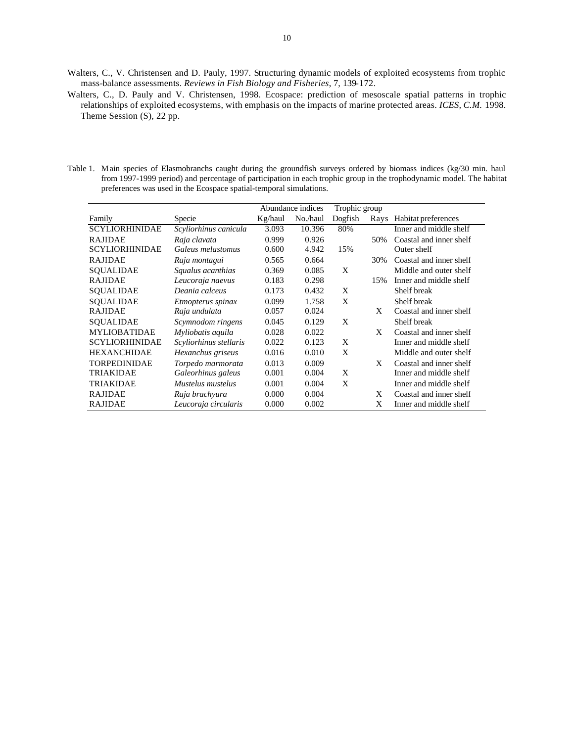- Walters, C., V. Christensen and D. Pauly, 1997. Structuring dynamic models of exploited ecosystems from trophic mass-balance assessments. *Reviews in Fish Biology and Fisheries*, 7, 139-172.
- Walters, C., D. Pauly and V. Christensen, 1998. Ecospace: prediction of mesoscale spatial patterns in trophic relationships of exploited ecosystems, with emphasis on the impacts of marine protected areas. *ICES, C.M.* 1998. Theme Session (S), 22 pp.
- Table 1. Main species of Elasmobranchs caught during the groundfish surveys ordered by biomass indices (kg/30 min. haul from 1997-1999 period) and percentage of participation in each trophic group in the trophodynamic model. The habitat preferences was used in the Ecospace spatial-temporal simulations.

|                       |                        |         | Abundance indices | Trophic group |      |                         |
|-----------------------|------------------------|---------|-------------------|---------------|------|-------------------------|
| Family                | Specie                 | Kg/haul | No./haul          | Dogfish       | Rays | Habitat preferences     |
| <b>SCYLIORHINIDAE</b> | Scyliorhinus canicula  | 3.093   | 10.396            | 80%           |      | Inner and middle shelf  |
| <b>RAJIDAE</b>        | Raja clavata           | 0.999   | 0.926             |               | 50%  | Coastal and inner shelf |
| <b>SCYLIORHINIDAE</b> | Galeus melastomus      | 0.600   | 4.942             | 15%           |      | Outer shelf             |
| <b>RAJIDAE</b>        | Raja montagui          | 0.565   | 0.664             |               | 30%  | Coastal and inner shelf |
| <b>SQUALIDAE</b>      | Squalus acanthias      | 0.369   | 0.085             | X             |      | Middle and outer shelf  |
| <b>RAJIDAE</b>        | Leucoraja naevus       | 0.183   | 0.298             |               | 15%  | Inner and middle shelf  |
| SOUALIDAE             | Deania calceus         | 0.173   | 0.432             | X             |      | Shelf break             |
| <b>SOUALIDAE</b>      | Etmopterus spinax      | 0.099   | 1.758             | X             |      | Shelf break             |
| <b>RAJIDAE</b>        | Raja undulata          | 0.057   | 0.024             |               | X    | Coastal and inner shelf |
| <b>SQUALIDAE</b>      | Scymnodom ringens      | 0.045   | 0.129             | X             |      | Shelf break             |
| <b>MYLIOBATIDAE</b>   | Myliobatis aquila      | 0.028   | 0.022             |               | X    | Coastal and inner shelf |
| <b>SCYLIORHINIDAE</b> | Scyliorhinus stellaris | 0.022   | 0.123             | X             |      | Inner and middle shelf  |
| <b>HEXANCHIDAE</b>    | Hexanchus griseus      | 0.016   | 0.010             | X             |      | Middle and outer shelf  |
| <b>TORPEDINIDAE</b>   | Torpedo marmorata      | 0.013   | 0.009             |               | X    | Coastal and inner shelf |
| <b>TRIAKIDAE</b>      | Galeorhinus galeus     | 0.001   | 0.004             | X             |      | Inner and middle shelf  |
| <b>TRIAKIDAE</b>      | Mustelus mustelus      | 0.001   | 0.004             | X             |      | Inner and middle shelf  |
| <b>RAJIDAE</b>        | Raja brachyura         | 0.000   | 0.004             |               | X    | Coastal and inner shelf |
| <b>RAJIDAE</b>        | Leucoraja circularis   | 0.000   | 0.002             |               | X    | Inner and middle shelf  |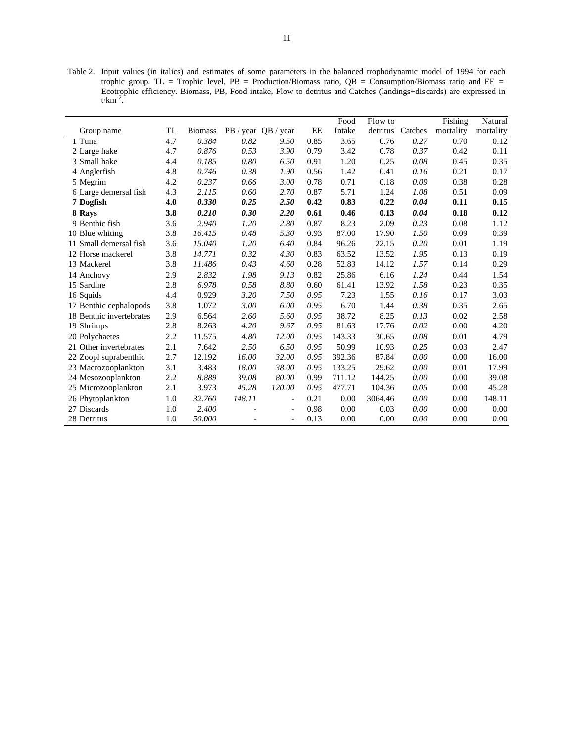Table 2. Input values (in italics) and estimates of some parameters in the balanced trophodynamic model of 1994 for each trophic group. TL = Trophic level,  $PB =$  Production/Biomass ratio,  $QB =$  Consumption/Biomass ratio and  $EE =$ Ecotrophic efficiency. Biomass, PB, Food intake, Flow to detritus and Catches (landings+discards) are expressed in t $\cdot$ km<sup>-2</sup>.

|                          |     |                |        |                          |      | Food   | Flow to  |         | Fishing   | Natural   |
|--------------------------|-----|----------------|--------|--------------------------|------|--------|----------|---------|-----------|-----------|
| Group name               | TL  | <b>Biomass</b> |        | PB / year QB / year      | EE   | Intake | detritus | Catches | mortality | mortality |
| 1 Tuna                   | 4.7 | 0.384          | 0.82   | 9.50                     | 0.85 | 3.65   | 0.76     | 0.27    | 0.70      | 0.12      |
| 2 Large hake             | 4.7 | 0.876          | 0.53   | 3.90                     | 0.79 | 3.42   | 0.78     | 0.37    | 0.42      | 0.11      |
| 3 Small hake             | 4.4 | 0.185          | 0.80   | 6.50                     | 0.91 | 1.20   | 0.25     | 0.08    | 0.45      | 0.35      |
| 4 Anglerfish             | 4.8 | 0.746          | 0.38   | 1.90                     | 0.56 | 1.42   | 0.41     | 0.16    | 0.21      | 0.17      |
| 5 Megrim                 | 4.2 | 0.237          | 0.66   | 3.00                     | 0.78 | 0.71   | 0.18     | 0.09    | 0.38      | 0.28      |
| 6 Large demersal fish    | 4.3 | 2.115          | 0.60   | 2.70                     | 0.87 | 5.71   | 1.24     | 1.08    | 0.51      | 0.09      |
| 7 Dogfish                | 4.0 | 0.330          | 0.25   | 2.50                     | 0.42 | 0.83   | 0.22     | 0.04    | 0.11      | 0.15      |
| 8 Rays                   | 3.8 | 0.210          | 0.30   | 2.20                     | 0.61 | 0.46   | 0.13     | 0.04    | 0.18      | 0.12      |
| 9 Benthic fish           | 3.6 | 2.940          | 1.20   | 2.80                     | 0.87 | 8.23   | 2.09     | 0.23    | 0.08      | 1.12      |
| 10 Blue whiting          | 3.8 | 16.415         | 0.48   | 5.30                     | 0.93 | 87.00  | 17.90    | 1.50    | 0.09      | 0.39      |
| 11 Small demersal fish   | 3.6 | 15.040         | 1.20   | 6.40                     | 0.84 | 96.26  | 22.15    | 0.20    | 0.01      | 1.19      |
| 12 Horse mackerel        | 3.8 | 14.771         | 0.32   | 4.30                     | 0.83 | 63.52  | 13.52    | 1.95    | 0.13      | 0.19      |
| 13 Mackerel              | 3.8 | 11.486         | 0.43   | 4.60                     | 0.28 | 52.83  | 14.12    | 1.57    | 0.14      | 0.29      |
| 14 Anchovy               | 2.9 | 2.832          | 1.98   | 9.13                     | 0.82 | 25.86  | 6.16     | 1.24    | 0.44      | 1.54      |
| 15 Sardine               | 2.8 | 6.978          | 0.58   | 8.80                     | 0.60 | 61.41  | 13.92    | 1.58    | 0.23      | 0.35      |
| 16 Squids                | 4.4 | 0.929          | 3.20   | 7.50                     | 0.95 | 7.23   | 1.55     | 0.16    | 0.17      | 3.03      |
| 17 Benthic cephalopods   | 3.8 | 1.072          | 3.00   | 6.00                     | 0.95 | 6.70   | 1.44     | 0.38    | 0.35      | 2.65      |
| 18 Benthic invertebrates | 2.9 | 6.564          | 2.60   | 5.60                     | 0.95 | 38.72  | 8.25     | 0.13    | 0.02      | 2.58      |
| 19 Shrimps               | 2.8 | 8.263          | 4.20   | 9.67                     | 0.95 | 81.63  | 17.76    | 0.02    | 0.00      | 4.20      |
| 20 Polychaetes           | 2.2 | 11.575         | 4.80   | 12.00                    | 0.95 | 143.33 | 30.65    | 0.08    | 0.01      | 4.79      |
| 21 Other invertebrates   | 2.1 | 7.642          | 2.50   | 6.50                     | 0.95 | 50.99  | 10.93    | 0.25    | 0.03      | 2.47      |
| 22 Zoopl suprabenthic    | 2.7 | 12.192         | 16.00  | 32.00                    | 0.95 | 392.36 | 87.84    | 0.00    | 0.00      | 16.00     |
| 23 Macrozooplankton      | 3.1 | 3.483          | 18.00  | 38.00                    | 0.95 | 133.25 | 29.62    | 0.00    | 0.01      | 17.99     |
| 24 Mesozooplankton       | 2.2 | 8.889          | 39.08  | 80.00                    | 0.99 | 711.12 | 144.25   | 0.00    | 0.00      | 39.08     |
| 25 Microzooplankton      | 2.1 | 3.973          | 45.28  | 120.00                   | 0.95 | 477.71 | 104.36   | 0.05    | 0.00      | 45.28     |
| 26 Phytoplankton         | 1.0 | 32.760         | 148.11 | $\overline{\phantom{a}}$ | 0.21 | 0.00   | 3064.46  | 0.00    | 0.00      | 148.11    |
| 27 Discards              | 1.0 | 2.400          |        | $\overline{\phantom{a}}$ | 0.98 | 0.00   | 0.03     | 0.00    | 0.00      | 0.00      |
| 28 Detritus              | 1.0 | 50.000         |        | $\overline{a}$           | 0.13 | 0.00   | 0.00     | 0.00    | 0.00      | 0.00      |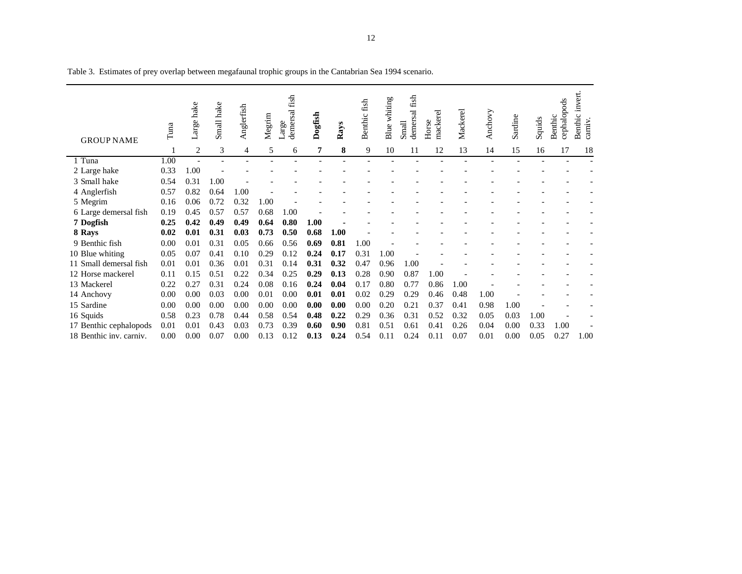| <b>GROUP NAME</b>       | Tuna | Large hake | Small hake | Anglerfish     | Megrim | fish<br>demersal<br>Large | Dogfish | Rays | Benthic fish | Blue whiting | fish<br>demersal<br>Small | mackerel<br>Horse | Mackerel | Anchovy | Sardine | Squids | cephalopods<br>Benthic | invert.<br>Benthic<br>carniv. |
|-------------------------|------|------------|------------|----------------|--------|---------------------------|---------|------|--------------|--------------|---------------------------|-------------------|----------|---------|---------|--------|------------------------|-------------------------------|
|                         |      | 2          | 3          | $\overline{4}$ | 5      | 6                         | 7       | 8    | 9            | 10           | 11                        | 12                | 13       | 14      | 15      | 16     | 17                     | 18                            |
| 1 Tuna                  | 1.00 |            |            |                |        |                           |         |      |              |              |                           |                   |          |         |         |        |                        |                               |
| 2 Large hake            | 0.33 | 1.00       |            |                |        |                           |         |      |              |              |                           |                   |          |         |         |        |                        |                               |
| 3 Small hake            | 0.54 | 0.31       | 1.00       |                |        |                           |         |      |              |              |                           |                   |          |         |         |        |                        |                               |
| 4 Anglerfish            | 0.57 | 0.82       | 0.64       | 1.00           |        |                           |         |      |              |              |                           |                   |          |         |         |        |                        |                               |
| 5 Megrim                | 0.16 | 0.06       | 0.72       | 0.32           | 1.00   |                           |         |      |              |              |                           |                   |          |         |         |        |                        |                               |
| 6 Large demersal fish   | 0.19 | 0.45       | 0.57       | 0.57           | 0.68   | 1.00                      |         |      |              |              |                           |                   |          |         |         |        |                        |                               |
| 7 Dogfish               | 0.25 | 0.42       | 0.49       | 0.49           | 0.64   | 0.80                      | 1.00    |      |              |              |                           |                   |          |         |         |        |                        |                               |
| 8 Rays                  | 0.02 | 0.01       | 0.31       | 0.03           | 0.73   | 0.50                      | 0.68    | 1.00 |              |              |                           |                   |          |         |         |        |                        |                               |
| 9 Benthic fish          | 0.00 | 0.01       | 0.31       | 0.05           | 0.66   | 0.56                      | 0.69    | 0.81 | 1.00         |              |                           |                   |          |         |         |        |                        |                               |
| 10 Blue whiting         | 0.05 | 0.07       | 0.41       | 0.10           | 0.29   | 0.12                      | 0.24    | 0.17 | 0.31         | 1.00         |                           |                   |          |         |         |        |                        |                               |
| 11 Small demersal fish  | 0.01 | 0.01       | 0.36       | 0.01           | 0.31   | 0.14                      | 0.31    | 0.32 | 0.47         | 0.96         | 1.00                      |                   |          |         |         |        |                        |                               |
| 12 Horse mackerel       | 0.11 | 0.15       | 0.51       | 0.22           | 0.34   | 0.25                      | 0.29    | 0.13 | 0.28         | 0.90         | 0.87                      | 1.00              |          |         |         |        |                        |                               |
| 13 Mackerel             | 0.22 | 0.27       | 0.31       | 0.24           | 0.08   | 0.16                      | 0.24    | 0.04 | 0.17         | 0.80         | 0.77                      | 0.86              | 1.00     |         |         |        |                        |                               |
| 14 Anchovy              | 0.00 | 0.00       | 0.03       | 0.00           | 0.01   | 0.00                      | 0.01    | 0.01 | 0.02         | 0.29         | 0.29                      | 0.46              | 0.48     | 1.00    |         |        |                        |                               |
| 15 Sardine              | 0.00 | 0.00       | 0.00       | 0.00           | 0.00   | 0.00                      | 0.00    | 0.00 | 0.00         | 0.20         | 0.21                      | 0.37              | 0.41     | 0.98    | 1.00    |        |                        |                               |
| 16 Squids               | 0.58 | 0.23       | 0.78       | 0.44           | 0.58   | 0.54                      | 0.48    | 0.22 | 0.29         | 0.36         | 0.31                      | 0.52              | 0.32     | 0.05    | 0.03    | 1.00   |                        |                               |
| 17 Benthic cephalopods  | 0.01 | 0.01       | 0.43       | 0.03           | 0.73   | 0.39                      | 0.60    | 0.90 | 0.81         | 0.51         | 0.61                      | 0.41              | 0.26     | 0.04    | 0.00    | 0.33   | 1.00                   |                               |
| 18 Benthic inv. carniv. | 0.00 | 0.00       | 0.07       | 0.00           | 0.13   | 0.12                      | 0.13    | 0.24 | 0.54         | 0.11         | 0.24                      | 0.11              | 0.07     | 0.01    | 0.00    | 0.05   | 0.27                   | 1.00                          |

Table 3. Estimates of prey overlap between megafaunal trophic groups in the Cantabrian Sea 1994 scenario.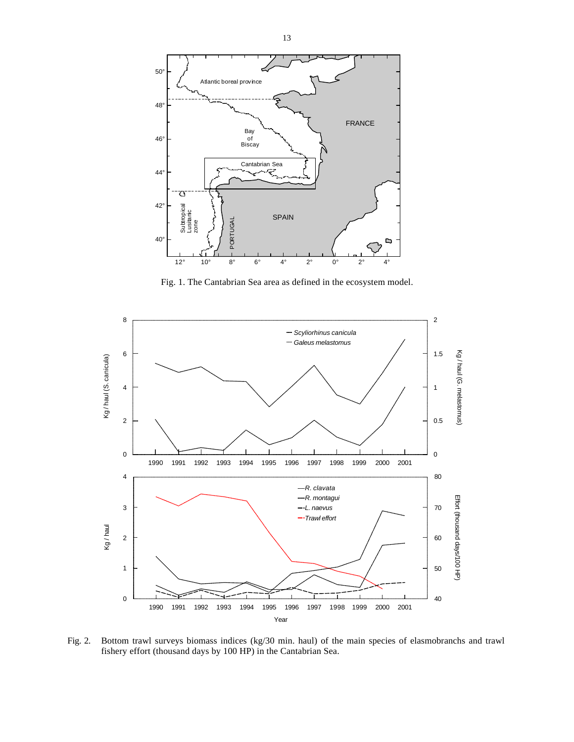

Fig. 1. The Cantabrian Sea area as defined in the ecosystem model.



Fig. 2. Bottom trawl surveys biomass indices (kg/30 min. haul) of the main species of elasmobranchs and trawl fishery effort (thousand days by 100 HP) in the Cantabrian Sea.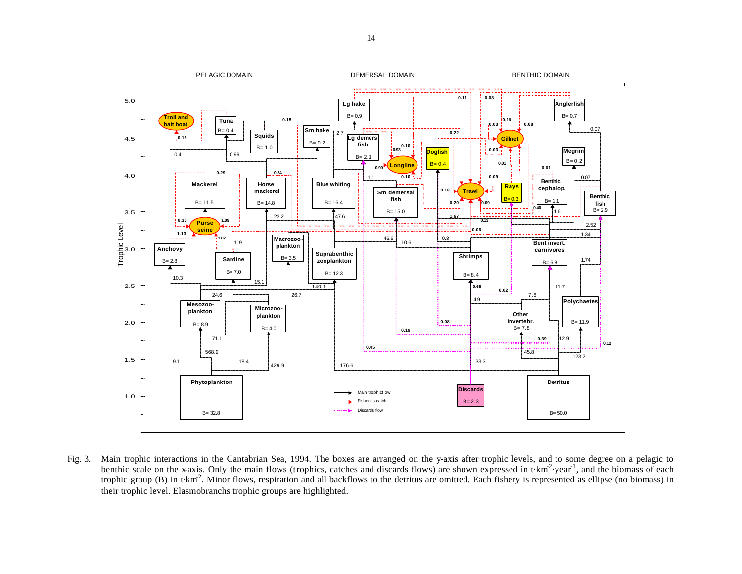

Fig. 3. Main trophic interactions in the Cantabrian Sea, 1994. The boxes are arranged on the y-axis after trophic levels, and to some degree on a pelagic to benthic scale on the x-axis. Only the main flows (trophics, catches and discards flows) are shown expressed in  $t \cdot km^2$  year<sup>1</sup>, and the biomass of each trophic group (B) in t·km<sup>2</sup>. Minor flows, respiration and all backflows to the detritus are omitted. Each fishery is represented as ellipse (no biomass) in their trophic level. Elasmobranchs trophic groups are highlighted.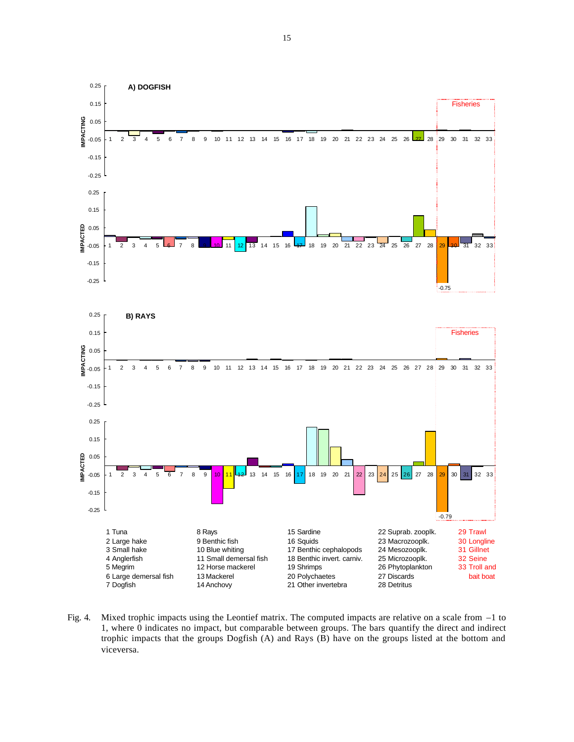

Fig. 4. Mixed trophic impacts using the Leontief matrix. The computed impacts are relative on a scale from –1 to 1, where 0 indicates no impact, but comparable between groups. The bars quantify the direct and indirect trophic impacts that the groups Dogfish (A) and Rays (B) have on the groups listed at the bottom and viceversa.